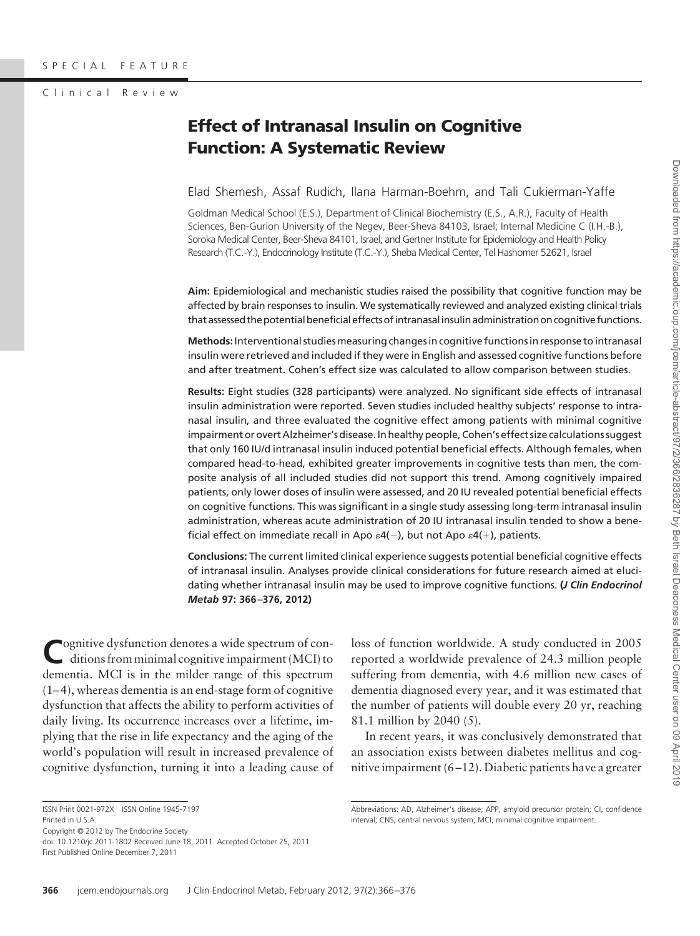### Clinical Review

# **Effect of Intranasal Insulin on Cognitive Function: A Systematic Review**

Elad Shemesh, Assaf Rudich, Ilana Harman-Boehm, and Tali Cukierman-Yaffe

Goldman Medical School (E.S.), Department of Clinical Biochemistry (E.S., A.R.), Faculty of Health Sciences, Ben-Gurion University of the Negev, Beer-Sheva 84103, Israel; Internal Medicine C (I.H.-B.), Soroka Medical Center, Beer-Sheva 84101, Israel; and Gertner Institute for Epidemiology and Health Policy Research (T.C.-Y.), Endocrinology Institute (T.C.-Y.), Sheba Medical Center, Tel Hashomer 52621, Israel

**Aim:** Epidemiological and mechanistic studies raised the possibility that cognitive function may be affected by brain responses to insulin. We systematically reviewed and analyzed existing clinical trials that assessed the potential beneficial effects of intranasal insulin administration on cognitive functions.

**Methods:** Interventional studiesmeasuring changes in cognitive functions in response to intranasal insulin were retrieved and included if they were in English and assessed cognitive functions before and after treatment. Cohen's effect size was calculated to allow comparison between studies.

**Results:** Eight studies (328 participants) were analyzed. No significant side effects of intranasal insulin administration were reported. Seven studies included healthy subjects' response to intranasal insulin, and three evaluated the cognitive effect among patients with minimal cognitive impairment or overt Alzheimer's disease. In healthy people, Cohen's effect size calculations suggest that only 160 IU/d intranasal insulin induced potential beneficial effects. Although females, when compared head-to-head, exhibited greater improvements in cognitive tests than men, the composite analysis of all included studies did not support this trend. Among cognitively impaired patients, only lower doses of insulin were assessed, and 20 IU revealed potential beneficial effects on cognitive functions. This was significant in a single study assessing long-term intranasal insulin administration, whereas acute administration of 20 IU intranasal insulin tended to show a beneficial effect on immediate recall in Apo  $\varepsilon$ 4(-), but not Apo  $\varepsilon$ 4(+), patients.

**Conclusions:** The current limited clinical experience suggests potential beneficial cognitive effects of intranasal insulin. Analyses provide clinical considerations for future research aimed at elucidating whether intranasal insulin may be used to improve cognitive functions. **(***J Clin Endocrinol Metab* **97: 366 –376, 2012)**

Cognitive dysfunction denotes a wide spectrum of conditions from minimal cognitive impairment (MCI) to dementia. MCI is in the milder range of this spectrum  $(1-4)$ , whereas dementia is an end-stage form of cognitive dysfunction that affects the ability to perform activities of daily living. Its occurrence increases over a lifetime, implying that the rise in life expectancy and the aging of the world's population will result in increased prevalence of cognitive dysfunction, turning it into a leading cause of

loss of function worldwide. A study conducted in 2005 reported a worldwide prevalence of 24.3 million people suffering from dementia, with 4.6 million new cases of dementia diagnosed every year, and it was estimated that the number of patients will double every 20 yr, reaching 81.1 million by 2040 (5).

In recent years, it was conclusively demonstrated that an association exists between diabetes mellitus and cognitive impairment (6 –12). Diabetic patients have a greater

ISSN Print 0021-972X ISSN Online 1945-7197 Printed in U.S.A.

Copyright © 2012 by The Endocrine Society

doi: 10.1210/jc.2011-1802 Received June 18, 2011. Accepted October 25, 2011. First Published Online December 7, 2011

Abbreviations: AD, Alzheimer's disease; APP, amyloid precursor protein; CI, confidence interval; CNS, central nervous system; MCI, minimal cognitive impairment.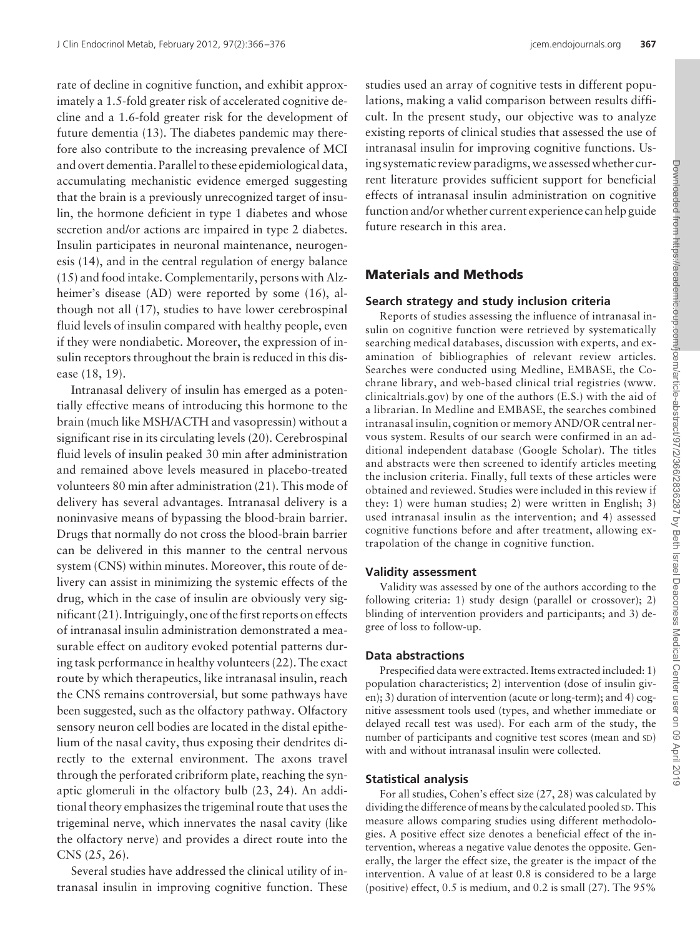rate of decline in cognitive function, and exhibit approximately a 1.5-fold greater risk of accelerated cognitive decline and a 1.6-fold greater risk for the development of future dementia (13). The diabetes pandemic may therefore also contribute to the increasing prevalence of MCI and overt dementia. Parallel to these epidemiological data, accumulating mechanistic evidence emerged suggesting that the brain is a previously unrecognized target of insulin, the hormone deficient in type 1 diabetes and whose secretion and/or actions are impaired in type 2 diabetes. Insulin participates in neuronal maintenance, neurogenesis (14), and in the central regulation of energy balance (15) and food intake. Complementarily, persons with Alzheimer's disease (AD) were reported by some (16), although not all (17), studies to have lower cerebrospinal fluid levels of insulin compared with healthy people, even if they were nondiabetic. Moreover, the expression of insulin receptors throughout the brain is reduced in this disease (18, 19).

Intranasal delivery of insulin has emerged as a potentially effective means of introducing this hormone to the brain (much like MSH/ACTH and vasopressin) without a significant rise in its circulating levels (20). Cerebrospinal fluid levels of insulin peaked 30 min after administration and remained above levels measured in placebo-treated volunteers 80 min after administration (21). This mode of delivery has several advantages. Intranasal delivery is a noninvasive means of bypassing the blood-brain barrier. Drugs that normally do not cross the blood-brain barrier can be delivered in this manner to the central nervous system (CNS) within minutes. Moreover, this route of delivery can assist in minimizing the systemic effects of the drug, which in the case of insulin are obviously very significant (21). Intriguingly, one of the first reports on effects of intranasal insulin administration demonstrated a measurable effect on auditory evoked potential patterns during task performance in healthy volunteers (22). The exact route by which therapeutics, like intranasal insulin, reach the CNS remains controversial, but some pathways have been suggested, such as the olfactory pathway. Olfactory sensory neuron cell bodies are located in the distal epithelium of the nasal cavity, thus exposing their dendrites directly to the external environment. The axons travel through the perforated cribriform plate, reaching the synaptic glomeruli in the olfactory bulb (23, 24). An additional theory emphasizes the trigeminal route that uses the trigeminal nerve, which innervates the nasal cavity (like the olfactory nerve) and provides a direct route into the CNS (25, 26).

Several studies have addressed the clinical utility of intranasal insulin in improving cognitive function. These

studies used an array of cognitive tests in different populations, making a valid comparison between results difficult. In the present study, our objective was to analyze existing reports of clinical studies that assessed the use of intranasal insulin for improving cognitive functions. Using systematic review paradigms, we assessed whether current literature provides sufficient support for beneficial effects of intranasal insulin administration on cognitive function and/or whether current experience can help guide future research in this area.

### **Materials and Methods**

#### **Search strategy and study inclusion criteria**

Reports of studies assessing the influence of intranasal insulin on cognitive function were retrieved by systematically searching medical databases, discussion with experts, and examination of bibliographies of relevant review articles. Searches were conducted using Medline, EMBASE, the Cochrane library, and web-based clinical trial registries (www. clinicaltrials.gov) by one of the authors (E.S.) with the aid of a librarian. In Medline and EMBASE, the searches combined intranasal insulin, cognition or memory AND/OR central nervous system. Results of our search were confirmed in an additional independent database (Google Scholar). The titles and abstracts were then screened to identify articles meeting the inclusion criteria. Finally, full texts of these articles were obtained and reviewed. Studies were included in this review if they: 1) were human studies; 2) were written in English; 3) used intranasal insulin as the intervention; and 4) assessed cognitive functions before and after treatment, allowing extrapolation of the change in cognitive function.

#### **Validity assessment**

Validity was assessed by one of the authors according to the following criteria: 1) study design (parallel or crossover); 2) blinding of intervention providers and participants; and 3) degree of loss to follow-up.

#### **Data abstractions**

Prespecified data were extracted. Items extracted included: 1) population characteristics; 2) intervention (dose of insulin given); 3) duration of intervention (acute or long-term); and 4) cognitive assessment tools used (types, and whether immediate or delayed recall test was used). For each arm of the study, the number of participants and cognitive test scores (mean and SD) with and without intranasal insulin were collected.

#### **Statistical analysis**

For all studies, Cohen's effect size (27, 28) was calculated by dividing the difference of means by the calculated pooled SD. This measure allows comparing studies using different methodologies. A positive effect size denotes a beneficial effect of the intervention, whereas a negative value denotes the opposite. Generally, the larger the effect size, the greater is the impact of the intervention. A value of at least 0.8 is considered to be a large (positive) effect, 0.5 is medium, and 0.2 is small (27). The 95%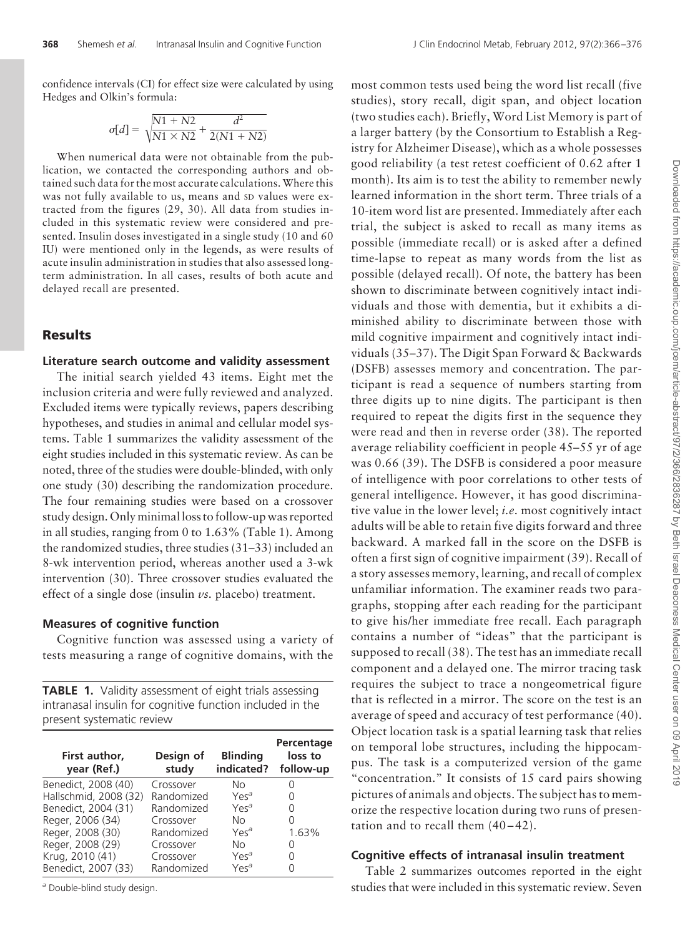confidence intervals (CI) for effect size were calculated by using Hedges and Olkin's formula:

$$
\sigma[d] = \sqrt{\frac{N1 + N2}{N1 \times N2} + \frac{d^2}{2(N1 + N2)}}
$$

When numerical data were not obtainable from the publication, we contacted the corresponding authors and obtained such data for the most accurate calculations.Where this was not fully available to us, means and SD values were extracted from the figures (29, 30). All data from studies included in this systematic review were considered and presented. Insulin doses investigated in a single study (10 and 60 IU) were mentioned only in the legends, as were results of acute insulin administration in studies that also assessed longterm administration. In all cases, results of both acute and delayed recall are presented.

### **Results**

#### **Literature search outcome and validity assessment**

The initial search yielded 43 items. Eight met the inclusion criteria and were fully reviewed and analyzed. Excluded items were typically reviews, papers describing hypotheses, and studies in animal and cellular model systems. Table 1 summarizes the validity assessment of the eight studies included in this systematic review. As can be noted, three of the studies were double-blinded, with only one study (30) describing the randomization procedure. The four remaining studies were based on a crossover study design. Only minimal loss to follow-up was reported in all studies, ranging from 0 to 1.63% (Table 1). Among the randomized studies, three studies (31–33) included an 8-wk intervention period, whereas another used a 3-wk intervention (30). Three crossover studies evaluated the effect of a single dose (insulin *vs.* placebo) treatment.

### **Measures of cognitive function**

Cognitive function was assessed using a variety of tests measuring a range of cognitive domains, with the

**TABLE 1.** Validity assessment of eight trials assessing intranasal insulin for cognitive function included in the present systematic review

| First author,<br>year (Ref.) | Design of<br>study | <b>Blinding</b><br>indicated? | Percentage<br>loss to<br>follow-up |
|------------------------------|--------------------|-------------------------------|------------------------------------|
| Benedict, 2008 (40)          | Crossover          | No                            | $\left( \right)$                   |
| Hallschmid, 2008 (32)        | Randomized         | $Yes^a$                       |                                    |
| Benedict, 2004 (31)          | Randomized         | $Yes^a$                       | Ω                                  |
| Reger, 2006 (34)             | Crossover          | No.                           | Ω                                  |
| Reger, 2008 (30)             | Randomized         | Yes <sup>a</sup>              | 1.63%                              |
| Reger, 2008 (29)             | Crossover          | No                            | $\left( \right)$                   |
| Krug, 2010 (41)              | Crossover          | $Yes^a$                       | Ω                                  |
| Benedict, 2007 (33)          | Randomized         | Yes <sup>a</sup>              |                                    |

*<sup>a</sup>* Double-blind study design.

most common tests used being the word list recall (five studies), story recall, digit span, and object location (two studies each). Briefly, Word List Memory is part of a larger battery (by the Consortium to Establish a Registry for Alzheimer Disease), which as a whole possesses good reliability (a test retest coefficient of 0.62 after 1 month). Its aim is to test the ability to remember newly learned information in the short term. Three trials of a 10-item word list are presented. Immediately after each trial, the subject is asked to recall as many items as possible (immediate recall) or is asked after a defined time-lapse to repeat as many words from the list as possible (delayed recall). Of note, the battery has been shown to discriminate between cognitively intact individuals and those with dementia, but it exhibits a diminished ability to discriminate between those with mild cognitive impairment and cognitively intact individuals (35–37). The Digit Span Forward & Backwards (DSFB) assesses memory and concentration. The participant is read a sequence of numbers starting from three digits up to nine digits. The participant is then required to repeat the digits first in the sequence they were read and then in reverse order (38). The reported average reliability coefficient in people 45–55 yr of age was 0.66 (39). The DSFB is considered a poor measure of intelligence with poor correlations to other tests of general intelligence. However, it has good discriminative value in the lower level; *i.e.* most cognitively intact adults will be able to retain five digits forward and three backward. A marked fall in the score on the DSFB is often a first sign of cognitive impairment (39). Recall of a story assesses memory, learning, and recall of complex unfamiliar information. The examiner reads two paragraphs, stopping after each reading for the participant to give his/her immediate free recall. Each paragraph contains a number of "ideas" that the participant is supposed to recall (38). The test has an immediate recall component and a delayed one. The mirror tracing task requires the subject to trace a nongeometrical figure that is reflected in a mirror. The score on the test is an average of speed and accuracy of test performance (40). Object location task is a spatial learning task that relies on temporal lobe structures, including the hippocampus. The task is a computerized version of the game "concentration." It consists of 15 card pairs showing pictures of animals and objects. The subject has to memorize the respective location during two runs of presentation and to recall them  $(40-42)$ .

#### **Cognitive effects of intranasal insulin treatment**

Table 2 summarizes outcomes reported in the eight studies that were included in this systematic review. Seven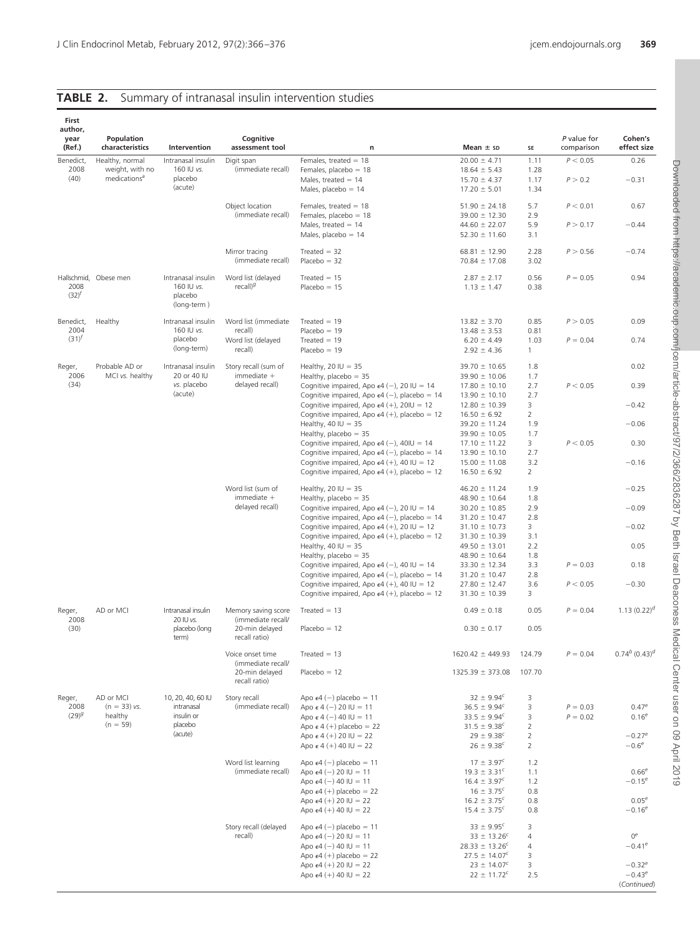# **TABLE 2.** Summary of intranasal insulin intervention studies

| First<br>author,<br>year<br>(Ref.) | Population<br>characteristics | Intervention                                               | Cognitive<br>assessment tool               | $\mathsf n$                                                                                                    | Mean $\pm$ sp                                               | SE                               | P value for<br>comparison | Cohen's<br>effect size   |
|------------------------------------|-------------------------------|------------------------------------------------------------|--------------------------------------------|----------------------------------------------------------------------------------------------------------------|-------------------------------------------------------------|----------------------------------|---------------------------|--------------------------|
| Benedict,                          | Healthy, normal               | Intranasal insulin                                         | Digit span                                 | Females, treated $= 18$                                                                                        | $20.00 \pm 4.71$                                            | 1.11                             | P < 0.05                  | 0.26                     |
| 2008                               | weight, with no               | 160 IU vs.                                                 | (immediate recall)                         | Females, placebo = $18$                                                                                        | $18.64 \pm 5.43$                                            | 1.28                             |                           |                          |
| (40)                               | medications <sup>a</sup>      | placebo<br>(acute)                                         |                                            | Males, treated $= 14$<br>Males, placebo = $14$                                                                 | $15.70 \pm 4.37$<br>$17.20 \pm 5.01$                        | 1.17<br>1.34                     | P > 0.2                   | $-0.31$                  |
|                                    |                               |                                                            | Object location<br>(immediate recall)      | Females, treated $= 18$<br>Females, placebo = $18$                                                             | $51.90 \pm 24.18$                                           | 5.7<br>2.9                       | P < 0.01                  | 0.67                     |
|                                    |                               |                                                            |                                            | Males, treated $= 14$<br>Males, placebo = $14$                                                                 | $39.00 \pm 12.30$<br>$44.60 \pm 22.07$<br>$52.30 \pm 11.60$ | 5.9<br>3.1                       | P > 0.17                  | $-0.44$                  |
|                                    |                               |                                                            | Mirror tracing<br>(immediate recall)       | $Treated = 32$<br>$Placebo = 32$                                                                               | $68.81 \pm 12.90$<br>$70.84 \pm 17.08$                      | 2.28<br>3.02                     | P > 0.56                  | $-0.74$                  |
| 2008<br>$(32)^f$                   | Hallschmid, Obese men         | Intranasal insulin<br>160 IU vs.<br>placebo<br>(long-term) | Word list (delayed<br>recall) <sup>g</sup> | Treated $= 15$<br>Placebo $= 15$                                                                               | $2.87 \pm 2.17$<br>$1.13 \pm 1.47$                          | 0.56<br>0.38                     | $P = 0.05$                | 0.94                     |
| Benedict,<br>2004                  | Healthy                       | Intranasal insulin<br>160 IU vs.                           | Word list (immediate<br>recall)            | $Treated = 19$<br>Placebo $= 19$                                                                               | $13.82 \pm 3.70$<br>$13.48 \pm 3.53$                        | 0.85<br>0.81                     | P > 0.05                  | 0.09                     |
| $(31)^{t}$                         |                               | placebo                                                    | Word list (delayed                         | $Treated = 19$                                                                                                 | $6.20 \pm 4.49$                                             | 1.03                             | $P = 0.04$                | 0.74                     |
|                                    |                               | (long-term)                                                | recall)                                    | Placebo $= 19$                                                                                                 | $2.92 \pm 4.36$                                             | $\mathbf{1}$                     |                           |                          |
| Reger,                             | Probable AD or                | Intranasal insulin                                         | Story recall (sum of                       | Healthy, $20$ IU = 35                                                                                          | $39.70 \pm 10.65$                                           | 1.8                              |                           | 0.02                     |
| 2006<br>(34)                       | MCI vs. healthy               | 20 or 40 IU<br>vs. placebo                                 | immediate +<br>delayed recall)             | Healthy, placebo = $35$                                                                                        | $39.90 \pm 10.06$                                           | 1.7                              |                           |                          |
|                                    |                               | (acute)                                                    |                                            | Cognitive impaired, Apo $\epsilon$ 4 (-), 20 IU = 14<br>Cognitive impaired, Apo $\epsilon$ 4 (-), placebo = 14 | $17.80 \pm 10.10$<br>$13.90 \pm 10.10$                      | 2.7<br>2.7                       | P < 0.05                  | 0.39                     |
|                                    |                               |                                                            |                                            | Cognitive impaired, Apo $\epsilon$ 4 (+), 20IU = 12                                                            | $12.80 \pm 10.39$                                           | 3                                |                           | $-0.42$                  |
|                                    |                               |                                                            |                                            | Cognitive impaired, Apo $\epsilon$ 4 (+), placebo = 12                                                         | $16.50 \pm 6.92$                                            | $\overline{2}$                   |                           |                          |
|                                    |                               |                                                            |                                            | Healthy, 40 IU = $35$                                                                                          | $39.20 \pm 11.24$                                           | 1.9                              |                           | $-0.06$                  |
|                                    |                               |                                                            |                                            | Healthy, placebo = $35$                                                                                        | $39.90 \pm 10.05$<br>$17.10 \pm 11.22$                      | 1.7<br>3                         | P < 0.05                  | 0.30                     |
|                                    |                               |                                                            |                                            | Cognitive impaired, Apo $\epsilon$ 4 (-), 40IU = 14<br>Cognitive impaired, Apo $\epsilon$ 4 (-), placebo = 14  | $13.90 \pm 10.10$                                           | 2.7                              |                           |                          |
|                                    |                               |                                                            |                                            | Cognitive impaired, Apo $\epsilon$ 4 (+), 40 IU = 12<br>Cognitive impaired, Apo $\epsilon$ 4 (+), placebo = 12 | $15.00 \pm 11.08$<br>$16.50 \pm 6.92$                       | 3.2<br>$\overline{2}$            |                           | $-0.16$                  |
|                                    |                               |                                                            | Word list (sum of                          | Healthy, $20$ IU = 35                                                                                          | $46.20 \pm 11.24$                                           | 1.9                              |                           | $-0.25$                  |
|                                    |                               |                                                            | immediate +<br>delayed recall)             | Healthy, placebo = $35$                                                                                        | $48.90 \pm 10.64$                                           | 1.8                              |                           |                          |
|                                    |                               |                                                            |                                            | Cognitive impaired, Apo $\epsilon$ 4 (-), 20 IU = 14<br>Cognitive impaired, Apo $\epsilon$ 4 (-), placebo = 14 | $30.20 \pm 10.85$<br>$31.20 \pm 10.47$                      | 2.9<br>2.8                       |                           | $-0.09$                  |
|                                    |                               |                                                            |                                            | Cognitive impaired, Apo $\epsilon$ 4 (+), 20 IU = 12                                                           | $31.10 \pm 10.73$                                           | 3                                |                           | $-0.02$                  |
|                                    |                               |                                                            |                                            | Cognitive impaired, Apo $\epsilon$ 4 (+), placebo = 12                                                         | $31.30 \pm 10.39$                                           | 3.1                              |                           |                          |
|                                    |                               |                                                            |                                            | Healthy, 40 IU = $35$                                                                                          | $49.50 \pm 13.01$                                           | 2.2                              |                           | 0.05                     |
|                                    |                               |                                                            |                                            | Healthy, placebo = $35$                                                                                        | $48.90 \pm 10.64$                                           | 1.8                              |                           |                          |
|                                    |                               |                                                            |                                            | Cognitive impaired, Apo $\epsilon$ 4 (-), 40 IU = 14<br>Cognitive impaired, Apo $\epsilon$ 4 (-), placebo = 14 | $33.30 \pm 12.34$<br>$31.20 \pm 10.47$                      | 3.3<br>2.8                       | $P = 0.03$                | 0.18                     |
|                                    |                               |                                                            |                                            | Cognitive impaired, Apo $\epsilon$ 4 (+), 40 IU = 12                                                           | $27.80 \pm 12.47$                                           | 3.6                              | P < 0.05                  | $-0.30$                  |
|                                    |                               |                                                            |                                            | Cognitive impaired, Apo $\epsilon$ 4 (+), placebo = 12                                                         | $31.30 \pm 10.39$                                           | 3                                |                           |                          |
| Reger,<br>2008                     | AD or MCI                     | Intranasal insulin<br>20 IU vs.                            | Memory saving score<br>(immediate recall/  | $Treated = 13$                                                                                                 | $0.49 \pm 0.18$                                             | 0.05                             | $P = 0.04$                | 1.13 $(0.22)^d$          |
| (30)                               |                               | placebo (long<br>term)                                     | 20-min delayed<br>recall ratio)            | $Placebo = 12$                                                                                                 | $0.30 \pm 0.17$                                             | 0.05                             |                           |                          |
|                                    |                               |                                                            | Voice onset time<br>(immediate recall/     | Treated $= 13$                                                                                                 | $1620.42 \pm 449.93$                                        | 124.79                           | $P = 0.04$                | $0.74^b(0.43)^d$         |
|                                    |                               |                                                            | 20-min delayed<br>recall ratio)            | $Placebo = 12$                                                                                                 | $1325.39 \pm 373.08$                                        | 107.70                           |                           |                          |
| Reger,                             | AD or MCI                     | 10, 20, 40, 60 IU                                          | Story recall                               | Apo $\epsilon$ 4 (-) placebo = 11                                                                              | $32 \pm 9.94^c$                                             | 3                                |                           |                          |
| 2008                               | $(n = 33)$ vs.                | intranasal                                                 | (immediate recall)                         | Apo $\epsilon$ 4 (-) 20 IU = 11                                                                                | $36.5 \pm 9.94^c$                                           | 3                                | $P = 0.03$                | $0.47^e$                 |
| $(29)^{g}$                         | healthy<br>$(n = 59)$         | insulin or<br>placebo                                      |                                            | Apo $\epsilon$ 4 (-) 40 IU = 11                                                                                | 33.5 $\pm$ 9.94 <sup>c</sup>                                | 3                                | $P = 0.02$                | $0.16^e$                 |
|                                    |                               | (acute)                                                    |                                            | Apo $\epsilon$ 4 (+) placebo = 22<br>Apo $\epsilon$ 4 (+) 20 IU = 22                                           | $31.5 \pm 9.38^c$<br>$29 \pm 9.38^c$                        | $\overline{2}$<br>$\overline{2}$ |                           | $-0.27^e$                |
|                                    |                               |                                                            |                                            | Apo $\epsilon$ 4 (+) 40 IU = 22                                                                                | $26 \pm 9.38^c$                                             | $\overline{2}$                   |                           | $-0.6^e$                 |
|                                    |                               |                                                            | Word list learning                         | Apo $\epsilon$ 4 (-) placebo = 11                                                                              | $17 \pm 3.97^c$                                             | 1.2                              |                           |                          |
|                                    |                               |                                                            | (immediate recall)                         | Apo $\epsilon$ 4 (-) 20 IU = 11                                                                                | $19.3 \pm 3.31^c$                                           | 1.1                              |                           | 0.66 <sup>e</sup>        |
|                                    |                               |                                                            |                                            | Apo $\epsilon$ 4 (-) 40 IU = 11                                                                                | $16.4 \pm 3.97^c$<br>$16 \pm 3.75$ <sup>c</sup>             | 1.2<br>0.8                       |                           | $-0.15^e$                |
|                                    |                               |                                                            |                                            | Apo $\epsilon$ 4 (+) placebo = 22<br>Apo $\epsilon$ 4 (+) 20 IU = 22                                           | $16.2 \pm 3.75^c$                                           | 0.8                              |                           | 0.05 <sup>e</sup>        |
|                                    |                               |                                                            |                                            | Apo $\epsilon$ 4 (+) 40 IU = 22                                                                                | $15.4 \pm 3.75^c$                                           | 0.8                              |                           | $-0.16^e$                |
|                                    |                               |                                                            | Story recall (delayed                      | Apo $\epsilon$ 4 (-) placebo = 11                                                                              | $33 \pm 9.95^c$                                             | 3                                |                           |                          |
|                                    |                               |                                                            | recall)                                    | Apo $\epsilon$ 4 (-) 20 IU = 11                                                                                | $33 \pm 13.26^c$                                            | 4                                |                           | $0^e$                    |
|                                    |                               |                                                            |                                            | Apo $\epsilon$ 4 (-) 40 IU = 11                                                                                | $28.33 \pm 13.26^c$<br>$27.5 \pm 14.07^c$                   | 4<br>3                           |                           | $-0.41^e$                |
|                                    |                               |                                                            |                                            | Apo $\epsilon$ 4 (+) placebo = 22<br>Apo $\epsilon$ 4 (+) 20 IU = 22                                           | $23 \pm 14.07^c$                                            | 3                                |                           | $-0.32^{e}$              |
|                                    |                               |                                                            |                                            | Apo $\epsilon$ 4 (+) 40 IU = 22                                                                                | $22 \pm 11.72^c$                                            | 2.5                              |                           | $-0.43^e$<br>(Continued) |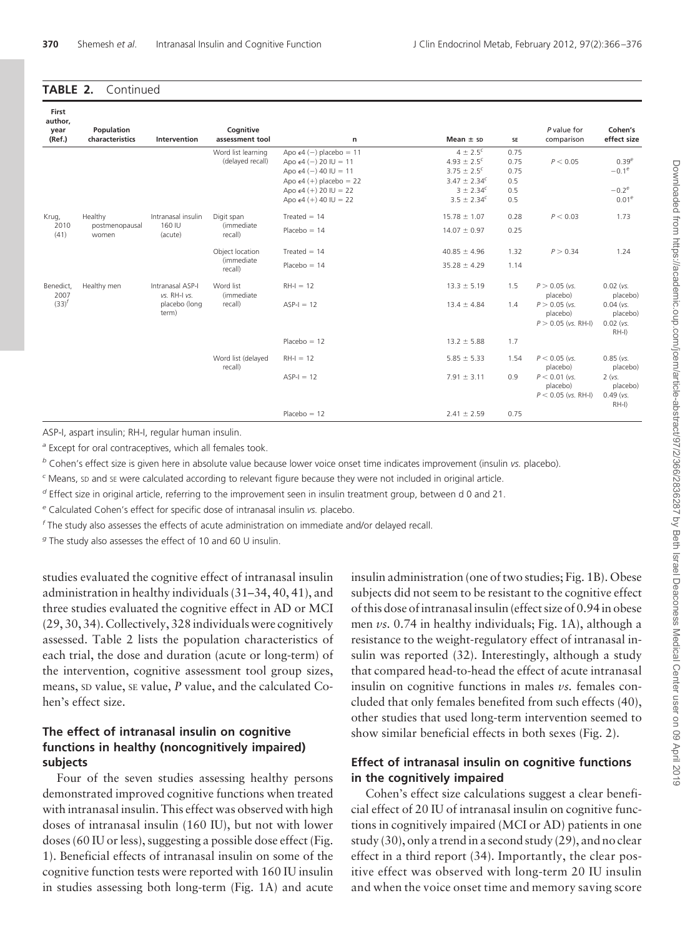### **TABLE 2.** Continued

| First<br>author,<br>year<br>(Ref.)                          | Population<br>characteristics | Intervention                                               | Cognitive<br>assessment tool                     | n                                 | Mean $\pm$ sp       | SE       | P value for<br>comparison                            | Cohen's<br>effect size                             |
|-------------------------------------------------------------|-------------------------------|------------------------------------------------------------|--------------------------------------------------|-----------------------------------|---------------------|----------|------------------------------------------------------|----------------------------------------------------|
|                                                             |                               |                                                            | Word list learning                               | Apo $\epsilon$ 4 (-) placebo = 11 | $4 \pm 2.5^{\circ}$ | 0.75     |                                                      |                                                    |
|                                                             |                               |                                                            | (delayed recall)                                 | Apo $\epsilon$ 4 (-) 20 IU = 11   | $4.93 \pm 2.5^c$    | 0.75     | P < 0.05                                             | $0.39^{e}$                                         |
|                                                             |                               |                                                            |                                                  | Apo $\epsilon$ 4 (-) 40 IU = 11   | $3.75 \pm 2.5^c$    | 0.75     |                                                      | $-0.1^e$                                           |
|                                                             |                               |                                                            |                                                  | Apo $\epsilon$ 4 (+) placebo = 22 | $3.47 \pm 2.34^c$   | 0.5      |                                                      |                                                    |
|                                                             |                               |                                                            |                                                  | Apo $\epsilon$ 4 (+) 20 IU = 22   | $3 \pm 2.34^c$      | 0.5      |                                                      | $-0.2^e$                                           |
|                                                             |                               |                                                            |                                                  | Apo $\epsilon$ 4 (+) 40 IU = 22   | $3.5 \pm 2.34^c$    | 0.5      |                                                      | 0.01 <sup>e</sup>                                  |
| Healthy<br>Krug,<br>2010<br>postmenopausal<br>(41)<br>women | Intranasal insulin            | Digit span                                                 | Treated $= 14$                                   | $15.78 \pm 1.07$                  | 0.28                | P < 0.03 | 1.73                                                 |                                                    |
|                                                             |                               | 160 IU<br>(acute)                                          | <i>(immediate)</i><br>recall)                    | Placebo $= 14$                    | $14.07 \pm 0.97$    | 0.25     |                                                      |                                                    |
|                                                             |                               |                                                            | Object location<br><i>(immediate)</i><br>recall) | Treated $= 14$                    | $40.85 \pm 4.96$    | 1.32     | P > 0.34                                             | 1.24                                               |
|                                                             |                               |                                                            |                                                  | Placebo $= 14$                    | $35.28 \pm 4.29$    | 1.14     |                                                      |                                                    |
| Benedict,<br>2007<br>$(33)^f$                               | Healthy men                   | Intranasal ASP-I<br>vs. RH-I vs.<br>placebo (long<br>term) | Word list<br>(immediate<br>recall)               | $RH-I = 12$                       | $13.3 \pm 5.19$     | 1.5      | $P > 0.05$ (vs.<br>placebo)                          | $0.02$ (vs.<br>placebo)                            |
|                                                             |                               |                                                            |                                                  | $ASP-I = 12$                      | $13.4 \pm 4.84$     | 1.4      | $P > 0.05$ (vs.<br>placebo)<br>$P > 0.05$ (vs. RH-I) | $0.04$ (vs.<br>placebo)<br>$0.02$ (vs.<br>$RH-I$ ) |
|                                                             |                               |                                                            |                                                  | Placebo $= 12$                    | $13.2 \pm 5.88$     | 1.7      |                                                      |                                                    |
|                                                             |                               |                                                            | Word list (delayed<br>recall)                    | $RH-I = 12$                       | $5.85 \pm 5.33$     | 1.54     | $P < 0.05$ (vs.<br>placebo)                          | $0.85$ (vs.<br>placebo)                            |
|                                                             |                               |                                                            |                                                  | $ASP-I = 12$                      | $7.91 \pm 3.11$     | 0.9      | $P < 0.01$ (vs.<br>placebo)<br>$P < 0.05$ (vs. RH-I) | $2$ ( $vs.$<br>placebo)<br>$0.49$ (vs.<br>$RH-I)$  |
|                                                             |                               |                                                            |                                                  | Placebo $= 12$                    | $2.41 \pm 2.59$     | 0.75     |                                                      |                                                    |

ASP-I, aspart insulin; RH-I, regular human insulin.

*<sup>a</sup>* Except for oral contraceptives, which all females took.

*<sup>b</sup>* Cohen's effect size is given here in absolute value because lower voice onset time indicates improvement (insulin *vs.* placebo).

*<sup>c</sup>* Means, SD and SE were calculated according to relevant figure because they were not included in original article.

*<sup>d</sup>* Effect size in original article, referring to the improvement seen in insulin treatment group, between d 0 and 21.

*<sup>e</sup>* Calculated Cohen's effect for specific dose of intranasal insulin *vs.* placebo.

*<sup>f</sup>* The study also assesses the effects of acute administration on immediate and/or delayed recall.

*<sup>g</sup>* The study also assesses the effect of 10 and 60 U insulin.

studies evaluated the cognitive effect of intranasal insulin administration in healthy individuals (31–34, 40, 41), and three studies evaluated the cognitive effect in AD or MCI (29, 30, 34). Collectively, 328 individuals were cognitively assessed. Table 2 lists the population characteristics of each trial, the dose and duration (acute or long-term) of the intervention, cognitive assessment tool group sizes, means, SD value, SE value, *P* value, and the calculated Cohen's effect size.

# **The effect of intranasal insulin on cognitive functions in healthy (noncognitively impaired) subjects**

Four of the seven studies assessing healthy persons demonstrated improved cognitive functions when treated with intranasal insulin. This effect was observed with high doses of intranasal insulin (160 IU), but not with lower doses (60 IU or less), suggesting a possible dose effect (Fig. 1). Beneficial effects of intranasal insulin on some of the cognitive function tests were reported with 160 IU insulin in studies assessing both long-term (Fig. 1A) and acute insulin administration (one of two studies; Fig. 1B). Obese subjects did not seem to be resistant to the cognitive effect of this dose of intranasal insulin (effect size of 0.94 in obese men *vs.* 0.74 in healthy individuals; Fig. 1A), although a resistance to the weight-regulatory effect of intranasal insulin was reported (32). Interestingly, although a study that compared head-to-head the effect of acute intranasal insulin on cognitive functions in males *vs.* females concluded that only females benefited from such effects (40), other studies that used long-term intervention seemed to show similar beneficial effects in both sexes (Fig. 2).

# **Effect of intranasal insulin on cognitive functions in the cognitively impaired**

Cohen's effect size calculations suggest a clear beneficial effect of 20 IU of intranasal insulin on cognitive functions in cognitively impaired (MCI or AD) patients in one study (30), only a trend in a second study (29), and no clear effect in a third report (34). Importantly, the clear positive effect was observed with long-term 20 IU insulin and when the voice onset time and memory saving score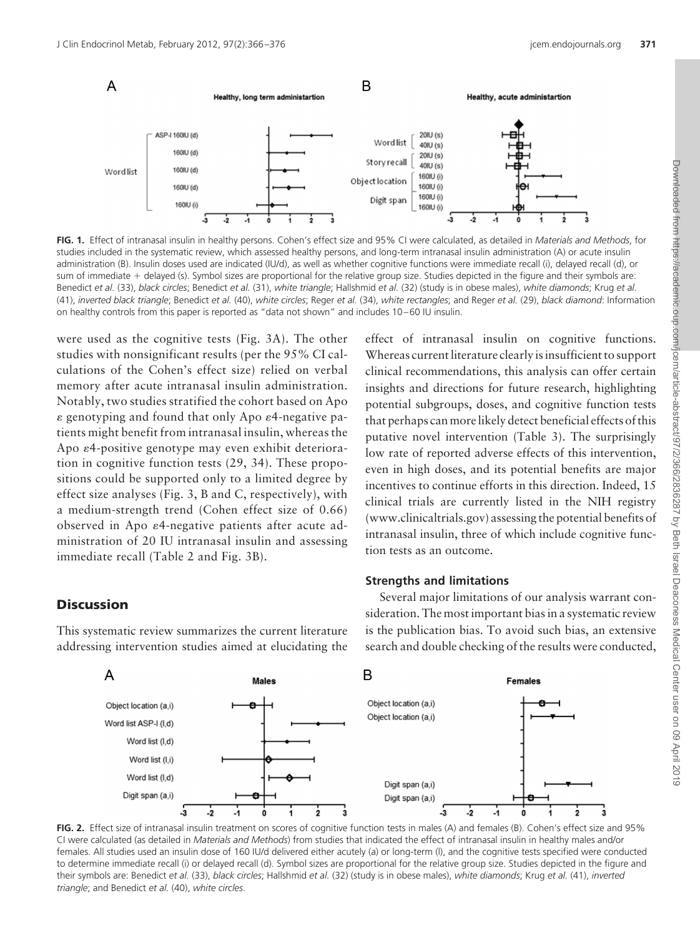

**FIG. 1.** Effect of intranasal insulin in healthy persons. Cohen's effect size and 95% CI were calculated, as detailed in *Materials and Methods*, for studies included in the systematic review, which assessed healthy persons, and long-term intranasal insulin administration (A) or acute insulin administration (B). Insulin doses used are indicated (IU/d), as well as whether cognitive functions were immediate recall (i), delayed recall (d), or sum of immediate + delayed (s). Symbol sizes are proportional for the relative group size. Studies depicted in the figure and their symbols are: Benedict *et al.* (33), *black circles*; Benedict *et al.* (31), *white triangle*; Hallshmid *et al.* (32) (study is in obese males), *white diamonds*; Krug *et al.* (41), *inverted black triangle*; Benedict *et al.* (40), *white circles*; Reger *et al.* (34), *white rectangles*; and Reger *et al.* (29), *black diamond*: Information on healthy controls from this paper is reported as "data not shown" and includes 10 – 60 IU insulin.

were used as the cognitive tests (Fig. 3A). The other studies with nonsignificant results (per the 95% CI calculations of the Cohen's effect size) relied on verbal memory after acute intranasal insulin administration. Notably, two studies stratified the cohort based on Apo  $\varepsilon$  genotyping and found that only Apo  $\varepsilon$ 4-negative patients might benefit from intranasal insulin, whereas the Apo  $\varepsilon$ 4-positive genotype may even exhibit deterioration in cognitive function tests (29, 34). These propositions could be supported only to a limited degree by effect size analyses (Fig. 3, B and C, respectively), with a medium-strength trend (Cohen effect size of 0.66) observed in Apo  $\varepsilon$ 4-negative patients after acute administration of 20 IU intranasal insulin and assessing immediate recall (Table 2 and Fig. 3B).

# **Discussion**

This systematic review summarizes the current literature addressing intervention studies aimed at elucidating the

effect of intranasal insulin on cognitive functions. Whereas current literature clearly is insufficient to support clinical recommendations, this analysis can offer certain insights and directions for future research, highlighting potential subgroups, doses, and cognitive function tests that perhaps can more likely detect beneficial effects of this putative novel intervention (Table 3). The surprisingly low rate of reported adverse effects of this intervention, even in high doses, and its potential benefits are major incentives to continue efforts in this direction. Indeed, 15 clinical trials are currently listed in the NIH registry (www.clinicaltrials.gov) assessing the potential benefits of intranasal insulin, three of which include cognitive function tests as an outcome.

#### **Strengths and limitations**

Several major limitations of our analysis warrant consideration. The most important bias in a systematic review is the publication bias. To avoid such bias, an extensive search and double checking of the results were conducted,



**FIG. 2.** Effect size of intranasal insulin treatment on scores of cognitive function tests in males (A) and females (B). Cohen's effect size and 95% CI were calculated (as detailed in *Materials and Methods*) from studies that indicated the effect of intranasal insulin in healthy males and/or females. All studies used an insulin dose of 160 IU/d delivered either acutely (a) or long-term (l), and the cognitive tests specified were conducted to determine immediate recall (i) or delayed recall (d). Symbol sizes are proportional for the relative group size. Studies depicted in the figure and their symbols are: Benedict *et al.* (33), *black circles*; Hallshmid *et al.* (32) (study is in obese males), *white diamonds*; Krug *et al.* (41), *inverted triangle*; and Benedict *et al.* (40), *white circles*.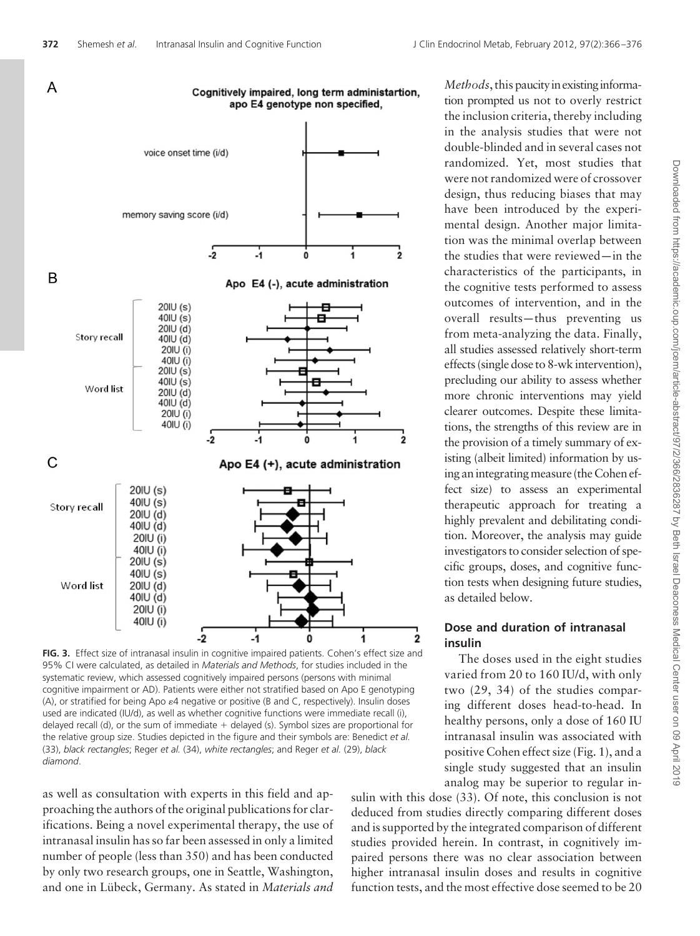

FIG. 3. Effect size of intranasal insulin in cognitive impaired patients. Cohen's effect size and 95% CI were calculated, as detailed in *Materials and Methods*, for studies included in the systematic review, which assessed cognitively impaired persons (persons with minimal cognitive impairment or AD). Patients were either not stratified based on Apo E genotyping (A), or stratified for being Apo  $\varepsilon$ 4 negative or positive (B and C, respectively). Insulin doses used are indicated (IU/d), as well as whether cognitive functions were immediate recall (i), delayed recall (d), or the sum of immediate  $+$  delayed (s). Symbol sizes are proportional for the relative group size. Studies depicted in the figure and their symbols are: Benedict *et al.* (33), *black rectangles*; Reger *et al.* (34), *white rectangles*; and Reger *et al.* (29), *black diamond*.

as well as consultation with experts in this field and approaching the authors of the original publications for clarifications. Being a novel experimental therapy, the use of intranasal insulin has so far been assessed in only a limited number of people (less than 350) and has been conducted by only two research groups, one in Seattle, Washington, and one in Lübeck, Germany. As stated in *Materials and* 

*Methods*, this paucity in existing information prompted us not to overly restrict the inclusion criteria, thereby including in the analysis studies that were not double-blinded and in several cases not randomized. Yet, most studies that were not randomized were of crossover design, thus reducing biases that may have been introduced by the experimental design. Another major limitation was the minimal overlap between the studies that were reviewed—in the characteristics of the participants, in the cognitive tests performed to assess outcomes of intervention, and in the overall results—thus preventing us from meta-analyzing the data. Finally, all studies assessed relatively short-term effects (single dose to 8-wk intervention), precluding our ability to assess whether more chronic interventions may yield clearer outcomes. Despite these limitations, the strengths of this review are in the provision of a timely summary of existing (albeit limited) information by using an integrating measure (the Cohen effect size) to assess an experimental therapeutic approach for treating a highly prevalent and debilitating condition. Moreover, the analysis may guide investigators to consider selection of specific groups, doses, and cognitive function tests when designing future studies, as detailed below.

### **Dose and duration of intranasal insulin**

The doses used in the eight studies varied from 20 to 160 IU/d, with only two (29, 34) of the studies comparing different doses head-to-head. In healthy persons, only a dose of 160 IU intranasal insulin was associated with positive Cohen effect size (Fig. 1), and a single study suggested that an insulin analog may be superior to regular in-

sulin with this dose (33). Of note, this conclusion is not deduced from studies directly comparing different doses and is supported by the integrated comparison of different studies provided herein. In contrast, in cognitively impaired persons there was no clear association between higher intranasal insulin doses and results in cognitive function tests, and the most effective dose seemed to be 20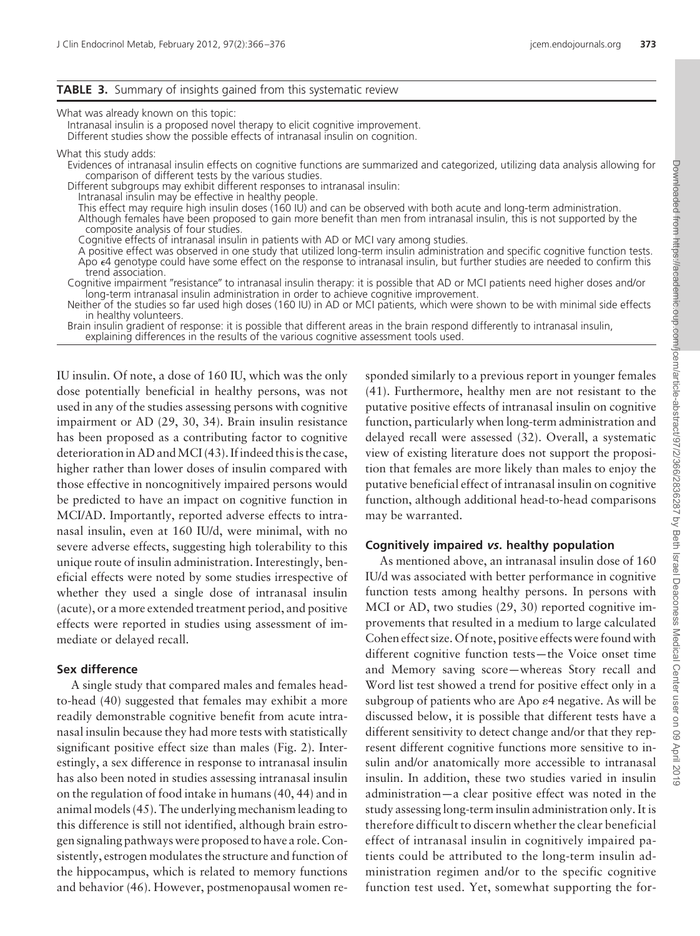### **TABLE 3.** Summary of insights gained from this systematic review

Intranasal insulin is a proposed novel therapy to elicit cognitive improvement.

Different studies show the possible effects of intranasal insulin on cognition.

What this study adds:

Evidences of intranasal insulin effects on cognitive functions are summarized and categorized, utilizing data analysis allowing for comparison of different tests by the various studies.

Different subgroups may exhibit different responses to intranasal insulin:

Intranasal insulin may be effective in healthy people.

- This effect may require high insulin doses (160 IU) and can be observed with both acute and long-term administration.
- Although females have been proposed to gain more benefit than men from intranasal insulin, this is not supported by the composite analysis of four studies.

Cognitive effects of intranasal insulin in patients with AD or MCI vary among studies.

- A positive effect was observed in one study that utilized long-term insulin administration and specific cognitive function tests. Apo  $\epsilon$ 4 genotype could have some effect on the response to intranasal insulin, but further studies are needed to confirm this trend association.
- Cognitive impairment "resistance" to intranasal insulin therapy: it is possible that AD or MCI patients need higher doses and/or long-term intranasal insulin administration in order to achieve cognitive improvement.

Neither of the studies so far used high doses (160 IU) in AD or MCI patients, which were shown to be with minimal side effects in healthy volunteers.

Brain insulin gradient of response: it is possible that different areas in the brain respond differently to intranasal insulin, explaining differences in the results of the various cognitive assessment tools used.

IU insulin. Of note, a dose of 160 IU, which was the only dose potentially beneficial in healthy persons, was not used in any of the studies assessing persons with cognitive impairment or AD (29, 30, 34). Brain insulin resistance has been proposed as a contributing factor to cognitive deterioration in AD and MCI (43). If indeed this is the case, higher rather than lower doses of insulin compared with those effective in noncognitively impaired persons would be predicted to have an impact on cognitive function in MCI/AD. Importantly, reported adverse effects to intranasal insulin, even at 160 IU/d, were minimal, with no severe adverse effects, suggesting high tolerability to this unique route of insulin administration. Interestingly, beneficial effects were noted by some studies irrespective of whether they used a single dose of intranasal insulin (acute), or a more extended treatment period, and positive effects were reported in studies using assessment of immediate or delayed recall.

### **Sex difference**

A single study that compared males and females headto-head (40) suggested that females may exhibit a more readily demonstrable cognitive benefit from acute intranasal insulin because they had more tests with statistically significant positive effect size than males (Fig. 2). Interestingly, a sex difference in response to intranasal insulin has also been noted in studies assessing intranasal insulin on the regulation of food intake in humans (40, 44) and in animal models (45). The underlying mechanism leading to this difference is still not identified, although brain estrogen signaling pathways were proposed to have a role. Consistently, estrogen modulates the structure and function of the hippocampus, which is related to memory functions and behavior (46). However, postmenopausal women responded similarly to a previous report in younger females (41). Furthermore, healthy men are not resistant to the putative positive effects of intranasal insulin on cognitive function, particularly when long-term administration and delayed recall were assessed (32). Overall, a systematic view of existing literature does not support the proposition that females are more likely than males to enjoy the putative beneficial effect of intranasal insulin on cognitive function, although additional head-to-head comparisons may be warranted.

#### **Cognitively impaired** *vs***. healthy population**

As mentioned above, an intranasal insulin dose of 160 IU/d was associated with better performance in cognitive function tests among healthy persons. In persons with MCI or AD, two studies (29, 30) reported cognitive improvements that resulted in a medium to large calculated Cohen effect size. Of note, positive effects were found with different cognitive function tests—the Voice onset time and Memory saving score—whereas Story recall and Word list test showed a trend for positive effect only in a subgroup of patients who are Apo  $\varepsilon$ 4 negative. As will be discussed below, it is possible that different tests have a different sensitivity to detect change and/or that they represent different cognitive functions more sensitive to insulin and/or anatomically more accessible to intranasal insulin. In addition, these two studies varied in insulin administration—a clear positive effect was noted in the study assessing long-term insulin administration only. It is therefore difficult to discern whether the clear beneficial effect of intranasal insulin in cognitively impaired patients could be attributed to the long-term insulin administration regimen and/or to the specific cognitive function test used. Yet, somewhat supporting the for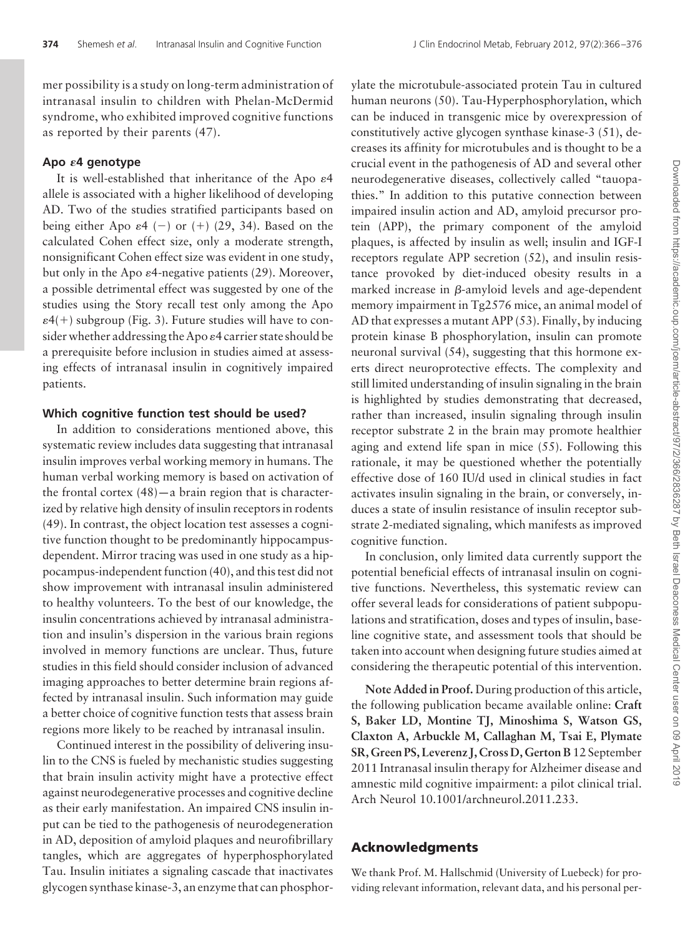mer possibility is a study on long-term administration of intranasal insulin to children with Phelan-McDermid syndrome, who exhibited improved cognitive functions as reported by their parents (47).

# Apo ε4 genotype

It is well-established that inheritance of the Apo  $\varepsilon$ 4 allele is associated with a higher likelihood of developing AD. Two of the studies stratified participants based on being either Apo  $\varepsilon$ 4 (-) or (+) (29, 34). Based on the calculated Cohen effect size, only a moderate strength, nonsignificant Cohen effect size was evident in one study, but only in the Apo  $\varepsilon$ 4-negative patients (29). Moreover, a possible detrimental effect was suggested by one of the studies using the Story recall test only among the Apo  $\varepsilon$ 4(+) subgroup (Fig. 3). Future studies will have to consider whether addressing the Apo  $\varepsilon$ 4 carrier state should be a prerequisite before inclusion in studies aimed at assessing effects of intranasal insulin in cognitively impaired patients.

# **Which cognitive function test should be used?**

In addition to considerations mentioned above, this systematic review includes data suggesting that intranasal insulin improves verbal working memory in humans. The human verbal working memory is based on activation of the frontal cortex  $(48)$ —a brain region that is characterized by relative high density of insulin receptors in rodents (49). In contrast, the object location test assesses a cognitive function thought to be predominantly hippocampusdependent. Mirror tracing was used in one study as a hippocampus-independent function (40), and this test did not show improvement with intranasal insulin administered to healthy volunteers. To the best of our knowledge, the insulin concentrations achieved by intranasal administration and insulin's dispersion in the various brain regions involved in memory functions are unclear. Thus, future studies in this field should consider inclusion of advanced imaging approaches to better determine brain regions affected by intranasal insulin. Such information may guide a better choice of cognitive function tests that assess brain regions more likely to be reached by intranasal insulin.

Continued interest in the possibility of delivering insulin to the CNS is fueled by mechanistic studies suggesting that brain insulin activity might have a protective effect against neurodegenerative processes and cognitive decline as their early manifestation. An impaired CNS insulin input can be tied to the pathogenesis of neurodegeneration in AD, deposition of amyloid plaques and neurofibrillary tangles, which are aggregates of hyperphosphorylated Tau. Insulin initiates a signaling cascade that inactivates glycogen synthase kinase-3, an enzyme that can phosphorylate the microtubule-associated protein Tau in cultured human neurons (50). Tau-Hyperphosphorylation, which can be induced in transgenic mice by overexpression of constitutively active glycogen synthase kinase-3 (51), decreases its affinity for microtubules and is thought to be a crucial event in the pathogenesis of AD and several other neurodegenerative diseases, collectively called "tauopathies." In addition to this putative connection between impaired insulin action and AD, amyloid precursor protein (APP), the primary component of the amyloid plaques, is affected by insulin as well; insulin and IGF-I receptors regulate APP secretion (52), and insulin resistance provoked by diet-induced obesity results in a marked increase in  $\beta$ -amyloid levels and age-dependent memory impairment in Tg2576 mice, an animal model of AD that expresses a mutant APP (53). Finally, by inducing protein kinase B phosphorylation, insulin can promote neuronal survival (54), suggesting that this hormone exerts direct neuroprotective effects. The complexity and still limited understanding of insulin signaling in the brain is highlighted by studies demonstrating that decreased, rather than increased, insulin signaling through insulin receptor substrate 2 in the brain may promote healthier aging and extend life span in mice (55). Following this rationale, it may be questioned whether the potentially effective dose of 160 IU/d used in clinical studies in fact activates insulin signaling in the brain, or conversely, induces a state of insulin resistance of insulin receptor substrate 2-mediated signaling, which manifests as improved cognitive function.

In conclusion, only limited data currently support the potential beneficial effects of intranasal insulin on cognitive functions. Nevertheless, this systematic review can offer several leads for considerations of patient subpopulations and stratification, doses and types of insulin, baseline cognitive state, and assessment tools that should be taken into account when designing future studies aimed at considering the therapeutic potential of this intervention.

**Note Added in Proof.** During production of this article, the following publication became available online: **Craft S, Baker LD, Montine TJ, Minoshima S, Watson GS, Claxton A, Arbuckle M, Callaghan M, Tsai E, Plymate SR, Green PS, Leverenz J, Cross D, Gerton B**12 September 2011 Intranasal insulin therapy for Alzheimer disease and amnestic mild cognitive impairment: a pilot clinical trial. Arch Neurol 10.1001/archneurol.2011.233.

# **Acknowledgments**

We thank Prof. M. Hallschmid (University of Luebeck) for providing relevant information, relevant data, and his personal per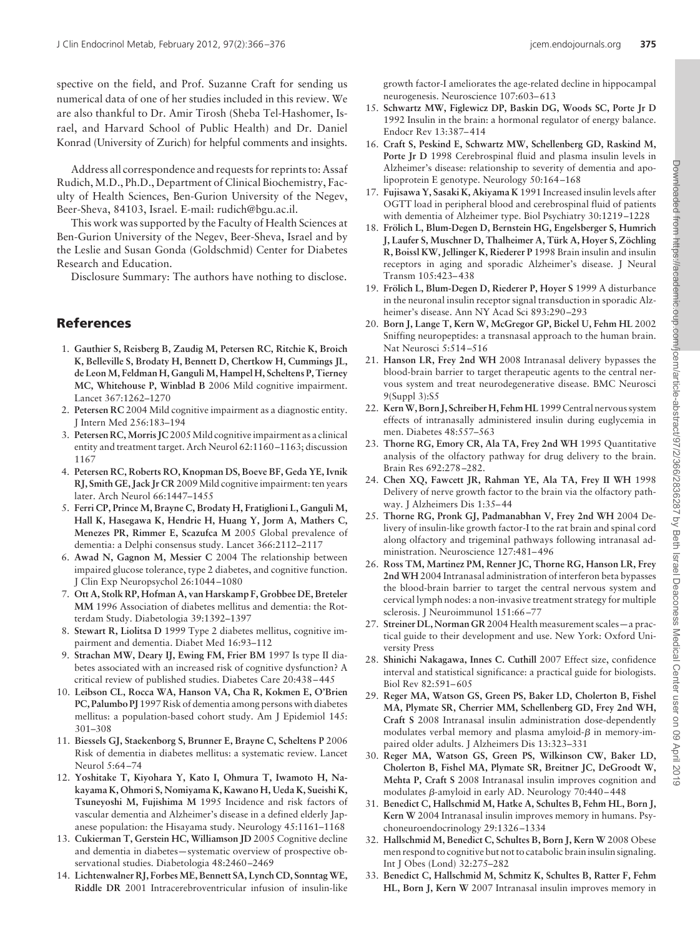spective on the field, and Prof. Suzanne Craft for sending us numerical data of one of her studies included in this review. We are also thankful to Dr. Amir Tirosh (Sheba Tel-Hashomer, Israel, and Harvard School of Public Health) and Dr. Daniel Konrad (University of Zurich) for helpful comments and insights.

Address all correspondence and requests for reprints to: Assaf Rudich, M.D., Ph.D., Department of Clinical Biochemistry, Faculty of Health Sciences, Ben-Gurion University of the Negev, Beer-Sheva, 84103, Israel. E-mail: rudich@bgu.ac.il.

This work was supported by the Faculty of Health Sciences at Ben-Gurion University of the Negev, Beer-Sheva, Israel and by the Leslie and Susan Gonda (Goldschmid) Center for Diabetes Research and Education.

Disclosure Summary: The authors have nothing to disclose.

# **References**

- 1. **Gauthier S, Reisberg B, Zaudig M, Petersen RC, Ritchie K, Broich K, Belleville S, Brodaty H, Bennett D, Chertkow H, Cummings JL, de Leon M, Feldman H, Ganguli M, Hampel H, Scheltens P, Tierney MC, Whitehouse P, Winblad B** 2006 Mild cognitive impairment. Lancet 367:1262–1270
- 2. **Petersen RC** 2004 Mild cognitive impairment as a diagnostic entity. J Intern Med 256:183–194
- 3. **Petersen RC,Morris JC** 2005Mild cognitive impairment as a clinical entity and treatment target. Arch Neurol 62:1160 –1163; discussion 1167
- 4. **Petersen RC, Roberts RO, Knopman DS, Boeve BF, Geda YE, Ivnik RJ, Smith GE, Jack Jr CR 2009 Mild cognitive impairment: ten years** later. Arch Neurol 66:1447–1455
- 5. **Ferri CP, Prince M, Brayne C, Brodaty H, Fratiglioni L, Ganguli M, Hall K, Hasegawa K, Hendrie H, Huang Y, Jorm A, Mathers C, Menezes PR, Rimmer E, Scazufca M** 2005 Global prevalence of dementia: a Delphi consensus study. Lancet 366:2112–2117
- 6. **Awad N, Gagnon M, Messier C** 2004 The relationship between impaired glucose tolerance, type 2 diabetes, and cognitive function. J Clin Exp Neuropsychol 26:1044 –1080
- 7. **Ott A, Stolk RP, Hofman A, van Harskamp F, Grobbee DE, Breteler MM** 1996 Association of diabetes mellitus and dementia: the Rotterdam Study. Diabetologia 39:1392–1397
- 8. **Stewart R, Liolitsa D** 1999 Type 2 diabetes mellitus, cognitive impairment and dementia. Diabet Med 16:93–112
- 9. **Strachan MW, Deary IJ, Ewing FM, Frier BM** 1997 Is type II diabetes associated with an increased risk of cognitive dysfunction? A critical review of published studies. Diabetes Care 20:438 – 445
- 10. **Leibson CL, Rocca WA, Hanson VA, Cha R, Kokmen E, O'Brien PC, Palumbo PJ** 1997 Risk of dementia among persons with diabetes mellitus: a population-based cohort study. Am J Epidemiol 145: 301–308
- 11. **Biessels GJ, Staekenborg S, Brunner E, Brayne C, Scheltens P** 2006 Risk of dementia in diabetes mellitus: a systematic review. Lancet Neurol 5:64 –74
- 12. **Yoshitake T, Kiyohara Y, Kato I, Ohmura T, Iwamoto H, Nakayama K, Ohmori S, Nomiyama K, Kawano H, Ueda K, Sueishi K, Tsuneyoshi M, Fujishima M** 1995 Incidence and risk factors of vascular dementia and Alzheimer's disease in a defined elderly Japanese population: the Hisayama study. Neurology 45:1161–1168
- 13. **Cukierman T, Gerstein HC, Williamson JD** 2005 Cognitive decline and dementia in diabetes—systematic overview of prospective observational studies. Diabetologia 48:2460 –2469
- 14. **Lichtenwalner RJ, ForbesME, Bennett SA, Lynch CD, SonntagWE, Riddle DR** 2001 Intracerebroventricular infusion of insulin-like

growth factor-I ameliorates the age-related decline in hippocampal neurogenesis. Neuroscience 107:603-613

- 15. **Schwartz MW, Figlewicz DP, Baskin DG, Woods SC, Porte Jr D** 1992 Insulin in the brain: a hormonal regulator of energy balance. Endocr Rev 13:387– 414
- 16. **Craft S, Peskind E, Schwartz MW, Schellenberg GD, Raskind M, Porte Jr D** 1998 Cerebrospinal fluid and plasma insulin levels in Alzheimer's disease: relationship to severity of dementia and apolipoprotein E genotype. Neurology 50:164 –168
- 17. **Fujisawa Y, Sasaki K, Akiyama K** 1991 Increased insulin levels after OGTT load in peripheral blood and cerebrospinal fluid of patients with dementia of Alzheimer type. Biol Psychiatry 30:1219 –1228
- 18. Frölich L, Blum-Degen D, Bernstein HG, Engelsberger S, Humrich **J, Laufer S, Muschner D, Thalheimer A, Türk A, Hoyer S, Zöchling R, Boissl KW, Jellinger K, Riederer P** 1998 Brain insulin and insulin receptors in aging and sporadic Alzheimer's disease. J Neural Transm 105:423– 438
- 19. Frölich L, Blum-Degen D, Riederer P, Hoyer S 1999 A disturbance in the neuronal insulin receptor signal transduction in sporadic Alzheimer's disease. Ann NY Acad Sci 893:290 –293
- 20. **Born J, Lange T, Kern W, McGregor GP, Bickel U, Fehm HL** 2002 Sniffing neuropeptides: a transnasal approach to the human brain. Nat Neurosci 5:514 –516
- 21. **Hanson LR, Frey 2nd WH** 2008 Intranasal delivery bypasses the blood-brain barrier to target therapeutic agents to the central nervous system and treat neurodegenerative disease. BMC Neurosci 9(Suppl 3):S5
- 22. **KernW, Born J, Schreiber H, Fehm HL**1999 Central nervous system effects of intranasally administered insulin during euglycemia in men. Diabetes 48:557–563
- 23. **Thorne RG, Emory CR, Ala TA, Frey 2nd WH** 1995 Quantitative analysis of the olfactory pathway for drug delivery to the brain. Brain Res 692:278 –282.
- 24. **Chen XQ, Fawcett JR, Rahman YE, Ala TA, Frey II WH** 1998 Delivery of nerve growth factor to the brain via the olfactory pathway. J Alzheimers Dis 1:35– 44
- 25. **Thorne RG, Pronk GJ, Padmanabhan V, Frey 2nd WH** 2004 Delivery of insulin-like growth factor-I to the rat brain and spinal cord along olfactory and trigeminal pathways following intranasal administration. Neuroscience 127:481-496
- 26. **Ross TM, Martinez PM, Renner JC, Thorne RG, Hanson LR, Frey 2nd WH** 2004 Intranasal administration of interferon beta bypasses the blood-brain barrier to target the central nervous system and cervical lymph nodes: a non-invasive treatment strategy for multiple sclerosis. J Neuroimmunol 151:66-77
- 27. **Streiner DL, Norman GR** 2004 Health measurement scales—a practical guide to their development and use. New York: Oxford University Press
- 28. **Shinichi Nakagawa, Innes C. Cuthill** 2007 Effect size, confidence interval and statistical significance: a practical guide for biologists. Biol Rev 82:591-605
- 29. **Reger MA, Watson GS, Green PS, Baker LD, Cholerton B, Fishel MA, Plymate SR, Cherrier MM, Schellenberg GD, Frey 2nd WH, Craft S** 2008 Intranasal insulin administration dose-dependently modulates verbal memory and plasma amyloid- $\beta$  in memory-impaired older adults. J Alzheimers Dis 13:323–331
- 30. **Reger MA, Watson GS, Green PS, Wilkinson CW, Baker LD, Cholerton B, Fishel MA, Plymate SR, Breitner JC, DeGroodt W, Mehta P, Craft S** 2008 Intranasal insulin improves cognition and modulates  $\beta$ -amyloid in early AD. Neurology 70:440-448
- 31. **Benedict C, Hallschmid M, Hatke A, Schultes B, Fehm HL, Born J, Kern W** 2004 Intranasal insulin improves memory in humans. Psychoneuroendocrinology 29:1326 –1334
- 32. **Hallschmid M, Benedict C, Schultes B, Born J, Kern W** 2008 Obese men respond to cognitive but not to catabolic brain insulin signaling. Int J Obes (Lond) 32:275–282
- 33. **Benedict C, Hallschmid M, Schmitz K, Schultes B, Ratter F, Fehm HL, Born J, Kern W** 2007 Intranasal insulin improves memory in